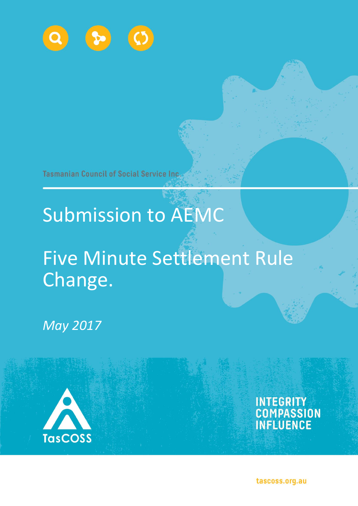

**Tasmanian Council of Social Service Inc.** 

# Submission to AEMC

## Five Minute Settlement Rule Change.

*May 2017*



INTEGRITY<br>COMPASSION<br>INFLUENCE

tascoss.org.au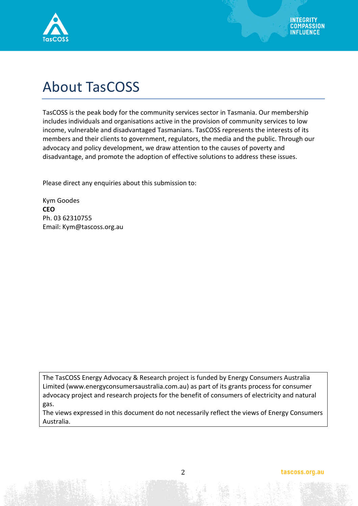

### About TasCOSS

TasCOSS is the peak body for the community services sector in Tasmania. Our membership includes individuals and organisations active in the provision of community services to low income, vulnerable and disadvantaged Tasmanians. TasCOSS represents the interests of its members and their clients to government, regulators, the media and the public. Through our advocacy and policy development, we draw attention to the causes of poverty and disadvantage, and promote the adoption of effective solutions to address these issues.

Please direct any enquiries about this submission to:

Kym Goodes **CEO** Ph. 03 62310755 Email: Kym@tascoss.org.au

The TasCOSS Energy Advocacy & Research project is funded by Energy Consumers Australia Limited [\(www.energyconsumersaustralia.com.au\)](http://www.energyconsumersaustralia.com.au/) as part of its grants process for consumer advocacy project and research projects for the benefit of consumers of electricity and natural gas.

The views expressed in this document do not necessarily reflect the views of Energy Consumers Australia.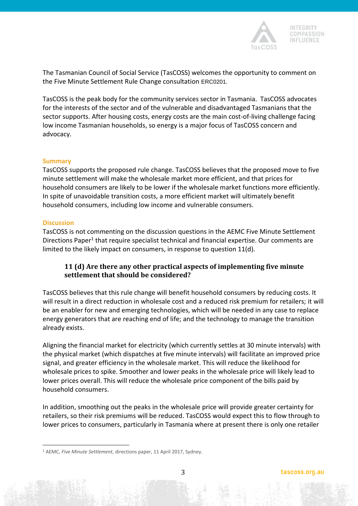

The Tasmanian Council of Social Service (TasCOSS) welcomes the opportunity to comment on the Five Minute Settlement Rule Change consultation ERC0201.

TasCOSS is the peak body for the community services sector in Tasmania. TasCOSS advocates for the interests of the sector and of the vulnerable and disadvantaged Tasmanians that the sector supports. After housing costs, energy costs are the main cost-of-living challenge facing low income Tasmanian households, so energy is a major focus of TasCOSS concern and advocacy.

#### **Summary**

TasCOSS supports the proposed rule change. TasCOSS believes that the proposed move to five minute settlement will make the wholesale market more efficient, and that prices for household consumers are likely to be lower if the wholesale market functions more efficiently. In spite of unavoidable transition costs, a more efficient market will ultimately benefit household consumers, including low income and vulnerable consumers.

#### **Discussion**

 $\overline{a}$ 

TasCOSS is not commenting on the discussion questions in the AEMC Five Minute Settlement Directions Paper<sup>1</sup> that require specialist technical and financial expertise. Our comments are limited to the likely impact on consumers, in response to question 11(d).

### **11 (d) Are there any other practical aspects of implementing five minute settlement that should be considered?**

TasCOSS believes that this rule change will benefit household consumers by reducing costs. It will result in a direct reduction in wholesale cost and a reduced risk premium for retailers; it will be an enabler for new and emerging technologies, which will be needed in any case to replace energy generators that are reaching end of life; and the technology to manage the transition already exists.

Aligning the financial market for electricity (which currently settles at 30 minute intervals) with the physical market (which dispatches at five minute intervals) will facilitate an improved price signal, and greater efficiency in the wholesale market. This will reduce the likelihood for wholesale prices to spike. Smoother and lower peaks in the wholesale price will likely lead to lower prices overall. This will reduce the wholesale price component of the bills paid by household consumers.

In addition, smoothing out the peaks in the wholesale price will provide greater certainty for retailers, so their risk premiums will be reduced. TasCOSS would expect this to flow through to lower prices to consumers, particularly in Tasmania where at present there is only one retailer

<sup>1</sup> AEMC, *Five Minute Settlement*, directions paper, 11 April 2017, Sydney.